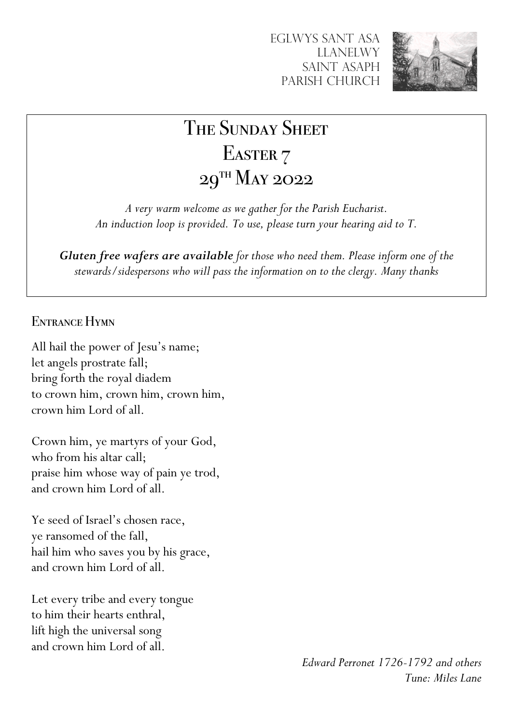

# THE SUNDAY SHEET EASTER<sub>7</sub> 29<sup>TH</sup> MAY 2022

*A very warm welcome as we gather for the Parish Eucharist. An induction loop is provided. To use, please turn your hearing aid to T.*

*Gluten free wafers are available for those who need them. Please inform one of the stewards/sidespersons who will pass the information on to the clergy. Many thanks*

ENTRANCE HYMN

All hail the power of Jesu's name; let angels prostrate fall; bring forth the royal diadem to crown him, crown him, crown him, crown him Lord of all.

Crown him, ye martyrs of your God, who from his altar call; praise him whose way of pain ye trod, and crown him Lord of all.

Ye seed of Israel's chosen race, ye ransomed of the fall, hail him who saves you by his grace, and crown him Lord of all.

Let every tribe and every tongue to him their hearts enthral, lift high the universal song and crown him Lord of all.

> *Edward Perronet 1726-1792 and others Tune: Miles Lane*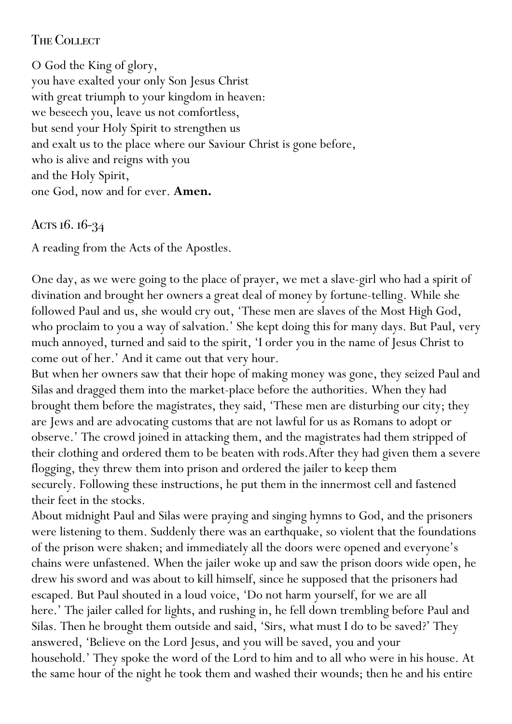# **THE COLLECT**

O God the King of glory, you have exalted your only Son Jesus Christ with great triumph to your kingdom in heaven: we beseech you, leave us not comfortless, but send your Holy Spirit to strengthen us and exalt us to the place where our Saviour Christ is gone before, who is alive and reigns with you and the Holy Spirit, one God, now and for ever. **Amen.**

## Acts 16. 16-34

A reading from the Acts of the Apostles.

One day, as we were going to the place of prayer, we met a slave-girl who had a spirit of divination and brought her owners a great deal of money by fortune-telling. While she followed Paul and us, she would cry out, 'These men are slaves of the Most High God, who proclaim to you a way of salvation.' She kept doing this for many days. But Paul, very much annoyed, turned and said to the spirit, 'I order you in the name of Jesus Christ to come out of her.' And it came out that very hour.

But when her owners saw that their hope of making money was gone, they seized Paul and Silas and dragged them into the market-place before the authorities. When they had brought them before the magistrates, they said, 'These men are disturbing our city; they are Jews and are advocating customs that are not lawful for us as Romans to adopt or observe.' The crowd joined in attacking them, and the magistrates had them stripped of their clothing and ordered them to be beaten with rods.After they had given them a severe flogging, they threw them into prison and ordered the jailer to keep them securely. Following these instructions, he put them in the innermost cell and fastened their feet in the stocks.

About midnight Paul and Silas were praying and singing hymns to God, and the prisoners were listening to them. Suddenly there was an earthquake, so violent that the foundations of the prison were shaken; and immediately all the doors were opened and everyone's chains were unfastened. When the jailer woke up and saw the prison doors wide open, he drew his sword and was about to kill himself, since he supposed that the prisoners had escaped. But Paul shouted in a loud voice, 'Do not harm yourself, for we are all here.' The jailer called for lights, and rushing in, he fell down trembling before Paul and Silas. Then he brought them outside and said, 'Sirs, what must I do to be saved?' They answered, 'Believe on the Lord Jesus, and you will be saved, you and your household.' They spoke the word of the Lord to him and to all who were in his house. At the same hour of the night he took them and washed their wounds; then he and his entire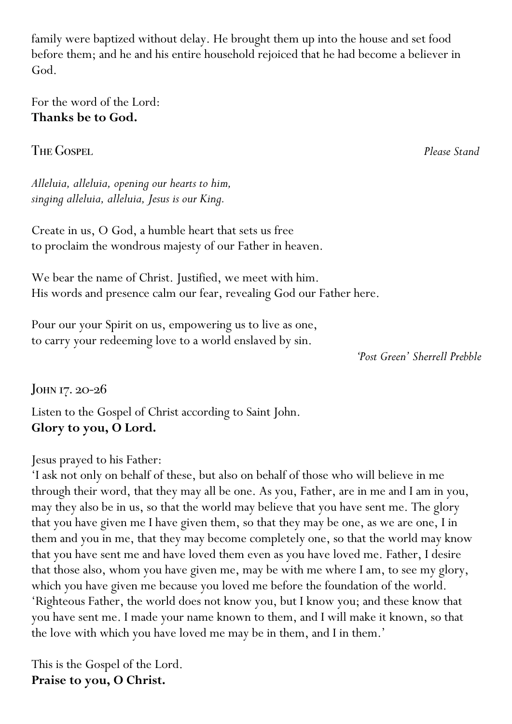family were baptized without delay. He brought them up into the house and set food before them; and he and his entire household rejoiced that he had become a believer in God.

For the word of the Lord: **Thanks be to God.**

The Gospel *Please Stand*

*Alleluia, alleluia, opening our hearts to him, singing alleluia, alleluia, Jesus is our King.*

Create in us, O God, a humble heart that sets us free to proclaim the wondrous majesty of our Father in heaven.

We bear the name of Christ. Justified, we meet with him. His words and presence calm our fear, revealing God our Father here.

Pour our your Spirit on us, empowering us to live as one, to carry your redeeming love to a world enslaved by sin.

*'Post Green' Sherrell Prebble*

JOHN 17. 20-26 Listen to the Gospel of Christ according to Saint John. **Glory to you, O Lord.**

Jesus prayed to his Father:

'I ask not only on behalf of these, but also on behalf of those who will believe in me through their word, that they may all be one. As you, Father, are in me and I am in you, may they also be in us, so that the world may believe that you have sent me. The glory that you have given me I have given them, so that they may be one, as we are one, I in them and you in me, that they may become completely one, so that the world may know that you have sent me and have loved them even as you have loved me. Father, I desire that those also, whom you have given me, may be with me where I am, to see my glory, which you have given me because you loved me before the foundation of the world. 'Righteous Father, the world does not know you, but I know you; and these know that you have sent me. I made your name known to them, and I will make it known, so that the love with which you have loved me may be in them, and I in them.'

This is the Gospel of the Lord. **Praise to you, O Christ.**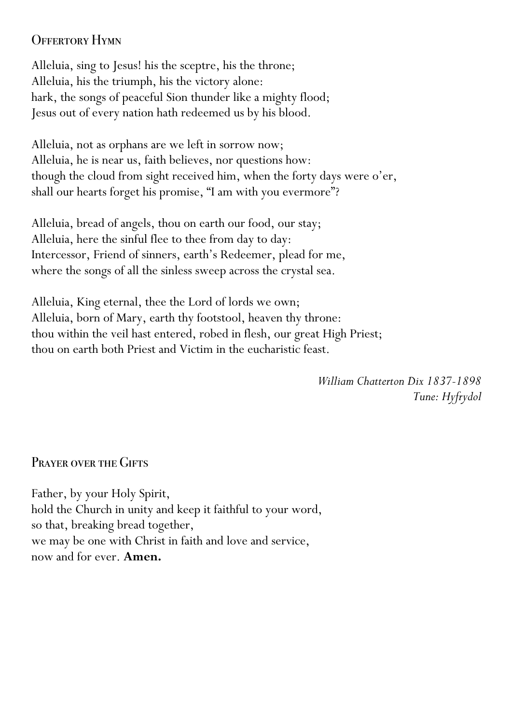# OFFERTORY HYMN

Alleluia, sing to Jesus! his the sceptre, his the throne; Alleluia, his the triumph, his the victory alone: hark, the songs of peaceful Sion thunder like a mighty flood; Jesus out of every nation hath redeemed us by his blood.

Alleluia, not as orphans are we left in sorrow now; Alleluia, he is near us, faith believes, nor questions how: though the cloud from sight received him, when the forty days were o'er, shall our hearts forget his promise, "I am with you evermore"?

Alleluia, bread of angels, thou on earth our food, our stay; Alleluia, here the sinful flee to thee from day to day: Intercessor, Friend of sinners, earth's Redeemer, plead for me, where the songs of all the sinless sweep across the crystal sea.

Alleluia, King eternal, thee the Lord of lords we own; Alleluia, born of Mary, earth thy footstool, heaven thy throne: thou within the veil hast entered, robed in flesh, our great High Priest; thou on earth both Priest and Victim in the eucharistic feast.

> *William Chatterton Dix 1837-1898 Tune: Hyfrydol*

PRAYER OVER THE GIFTS

Father, by your Holy Spirit, hold the Church in unity and keep it faithful to your word, so that, breaking bread together, we may be one with Christ in faith and love and service, now and for ever. **Amen.**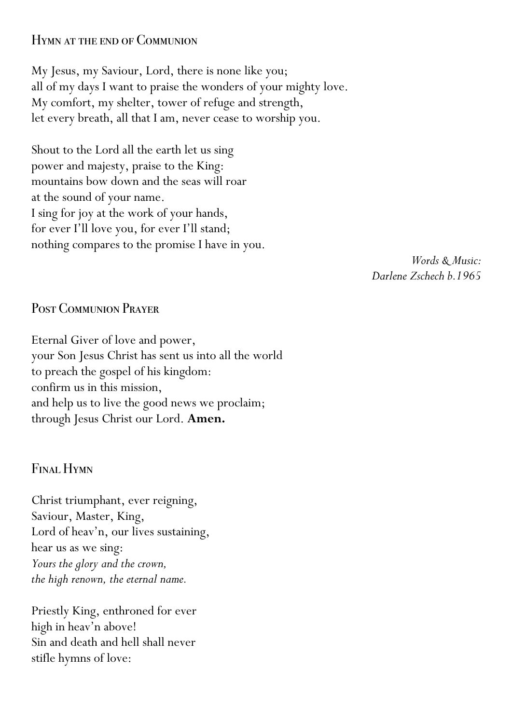#### Hymn at the end of Communion

My Jesus, my Saviour, Lord, there is none like you; all of my days I want to praise the wonders of your mighty love. My comfort, my shelter, tower of refuge and strength, let every breath, all that I am, never cease to worship you.

Shout to the Lord all the earth let us sing power and majesty, praise to the King: mountains bow down and the seas will roar at the sound of your name. I sing for joy at the work of your hands, for ever I'll love you, for ever I'll stand; nothing compares to the promise I have in you.

> *Words & Music: Darlene Zschech b.1965*

#### Post Communion Prayer

Eternal Giver of love and power, your Son Jesus Christ has sent us into all the world to preach the gospel of his kingdom: confirm us in this mission, and help us to live the good news we proclaim; through Jesus Christ our Lord. **Amen.**

#### Final Hymn

Christ triumphant, ever reigning, Saviour, Master, King, Lord of heav'n, our lives sustaining, hear us as we sing: *Yours the glory and the crown, the high renown, the eternal name.*

Priestly King, enthroned for ever high in heav'n above! Sin and death and hell shall never stifle hymns of love: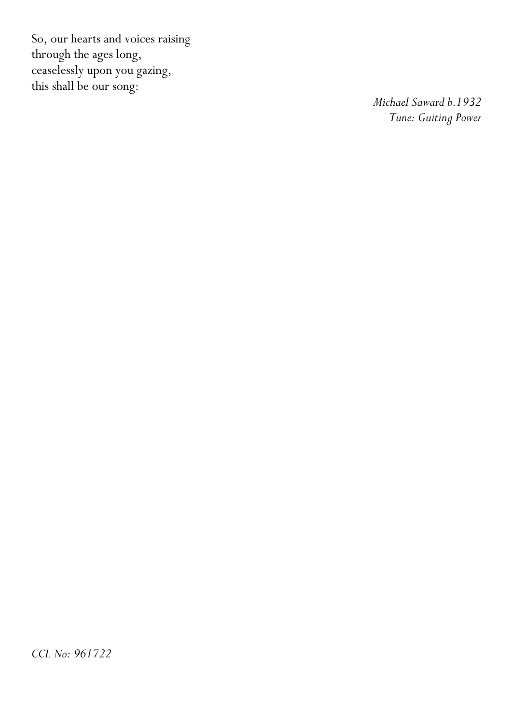So, our hearts and voices raising through the ages long, ceaselessly upon you gazing, this shall be our song:

*Michael Saward b.1932 Tune: Guiting Power*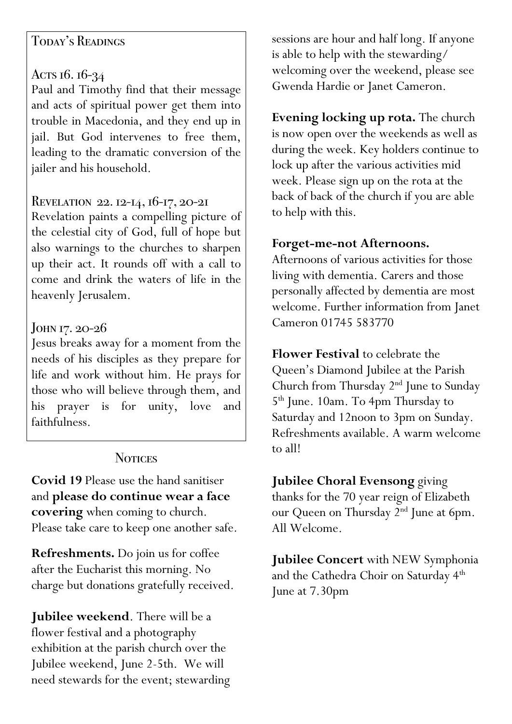#### Today's Readings

## Acts 16. 16-34

Paul and Timothy find that their message and acts of spiritual power get them into trouble in Macedonia, and they end up in jail. But God intervenes to free them, leading to the dramatic conversion of the jailer and his household.

## Revelation 22. 12-14, 16-17, 20-21

Revelation paints a compelling picture of the celestial city of God, full of hope but also warnings to the churches to sharpen up their act. It rounds off with a call to come and drink the waters of life in the heavenly Jerusalem.

# JOHN 17. 20-26

Jesus breaks away for a moment from the needs of his disciples as they prepare for life and work without him. He prays for those who will believe through them, and his prayer is for unity, love and faithfulness.

# **NOTICES**

**Covid 19** Please use the hand sanitiser and **please do continue wear a face covering** when coming to church. Please take care to keep one another safe.

**Refreshments.** Do join us for coffee after the Eucharist this morning. No charge but donations gratefully received.

**Jubilee weekend**. There will be a flower festival and a photography exhibition at the parish church over the Jubilee weekend, June 2-5th. We will need stewards for the event; stewarding sessions are hour and half long. If anyone is able to help with the stewarding/ welcoming over the weekend, please see Gwenda Hardie or Janet Cameron.

**Evening locking up rota.** The church is now open over the weekends as well as during the week. Key holders continue to lock up after the various activities mid week. Please sign up on the rota at the back of back of the church if you are able to help with this.

# **Forget-me-not Afternoons.**

Afternoons of various activities for those living with dementia. Carers and those personally affected by dementia are most welcome. Further information from Janet Cameron 01745 583770

**Flower Festival** to celebrate the Queen's Diamond Jubilee at the Parish Church from Thursday 2nd June to Sunday 5th June. 10am. To 4pm Thursday to Saturday and 12noon to 3pm on Sunday. Refreshments available. A warm welcome to all!

**Jubilee Choral Evensong** giving thanks for the 70 year reign of Elizabeth our Queen on Thursday 2<sup>nd</sup> June at 6pm. All Welcome.

**Jubilee Concert** with NEW Symphonia and the Cathedra Choir on Saturday 4<sup>th</sup> June at 7.30pm